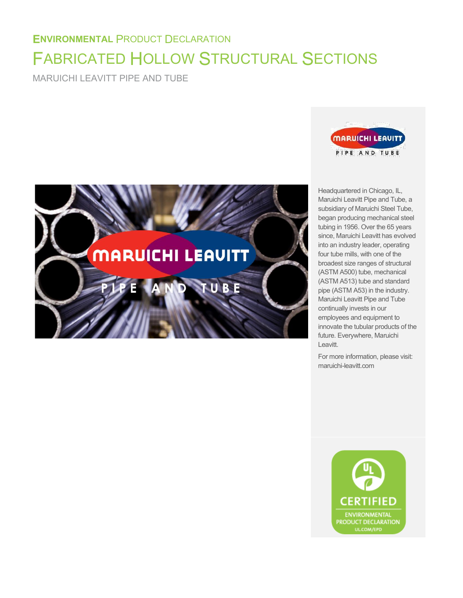# **ENVIRONMENTAL** PRODUCT DECLARATION FABRICATED HOLLOW STRUCTURAL SECTIONS

MARUICHI LEAVITT PIPE AND TUBE





Headquartered in Chicago, IL, Maruichi Leavitt Pipe and Tube, a subsidiary of Maruichi Steel Tube, began producing mechanical steel tubing in 1956. Over the 65 years since, Maruichi Leavitt has evolved into an industry leader, operating four tube mills, with one of the broadest size ranges of structural (ASTM A500) tube, mechanical (ASTM A513) tube and standard pipe (ASTM A53) in the industry. Maruichi Leavitt Pipe and Tube continually invests in our employees and equipment to innovate the tubular products of the future. Everywhere, Maruichi Leavitt.

For more information, please visit: maruichi-leavitt.com

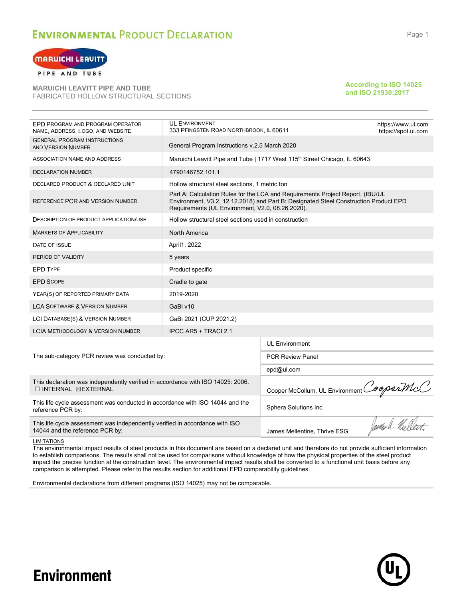

PIPE AND TUBE

**MARUICHI LEAVITT PIPE AND TUBE** FABRICATED HOLLOW STRUCTURAL SECTIONS

#### **According to ISO 14025 and ISO 21930:2017**

| EPD PROGRAM AND PROGRAM OPERATOR<br>NAME, ADDRESS, LOGO, AND WEBSITE                                                    | <b>UL ENVIRONMENT</b><br>333 PFINGSTEN ROAD NORTHBROOK, IL 60611                                                  |                                                                                                                                                                        | https://www.ul.com<br>https://spot.ul.com |  |  |  |  |  |
|-------------------------------------------------------------------------------------------------------------------------|-------------------------------------------------------------------------------------------------------------------|------------------------------------------------------------------------------------------------------------------------------------------------------------------------|-------------------------------------------|--|--|--|--|--|
| <b>GENERAL PROGRAM INSTRUCTIONS</b><br><b>AND VERSION NUMBER</b>                                                        | General Program Instructions v.2.5 March 2020                                                                     |                                                                                                                                                                        |                                           |  |  |  |  |  |
| ASSOCIATION NAME AND ADDRESS                                                                                            | Maruichi Leavitt Pipe and Tube   1717 West 115 <sup>th</sup> Street Chicago, IL 60643                             |                                                                                                                                                                        |                                           |  |  |  |  |  |
| <b>DECLARATION NUMBER</b>                                                                                               | 4790146752.101.1                                                                                                  |                                                                                                                                                                        |                                           |  |  |  |  |  |
| DECLARED PRODUCT & DECLARED UNIT                                                                                        | Hollow structural steel sections, 1 metric ton                                                                    |                                                                                                                                                                        |                                           |  |  |  |  |  |
| REFERENCE PCR AND VERSION NUMBER                                                                                        | Requirements (UL Environment, V2.0, 08.26.2020).                                                                  | Part A: Calculation Rules for the LCA and Requirements Project Report, (IBU/UL<br>Environment, V3.2, 12.12.2018) and Part B: Designated Steel Construction Product EPD |                                           |  |  |  |  |  |
| <b>DESCRIPTION OF PRODUCT APPLICATION/USE</b>                                                                           | Hollow structural steel sections used in construction                                                             |                                                                                                                                                                        |                                           |  |  |  |  |  |
| <b>MARKETS OF APPLICABILITY</b>                                                                                         |                                                                                                                   |                                                                                                                                                                        |                                           |  |  |  |  |  |
| DATE OF ISSUE                                                                                                           | April1, 2022                                                                                                      |                                                                                                                                                                        |                                           |  |  |  |  |  |
| PERIOD OF VALIDITY                                                                                                      | 5 years                                                                                                           |                                                                                                                                                                        |                                           |  |  |  |  |  |
| <b>EPD TYPE</b>                                                                                                         | Product specific                                                                                                  |                                                                                                                                                                        |                                           |  |  |  |  |  |
| <b>EPD SCOPE</b>                                                                                                        | Cradle to gate                                                                                                    |                                                                                                                                                                        |                                           |  |  |  |  |  |
| YEAR(S) OF REPORTED PRIMARY DATA                                                                                        | 2019-2020                                                                                                         |                                                                                                                                                                        |                                           |  |  |  |  |  |
| <b>LCA SOFTWARE &amp; VERSION NUMBER</b>                                                                                | GaBi v10                                                                                                          |                                                                                                                                                                        |                                           |  |  |  |  |  |
| LCI DATABASE(S) & VERSION NUMBER                                                                                        | GaBi 2021 (CUP 2021.2)                                                                                            |                                                                                                                                                                        |                                           |  |  |  |  |  |
| <b>LCIA METHODOLOGY &amp; VERSION NUMBER</b>                                                                            | IPCC AR5 + TRACI 2.1                                                                                              |                                                                                                                                                                        |                                           |  |  |  |  |  |
|                                                                                                                         |                                                                                                                   | <b>UL Environment</b>                                                                                                                                                  |                                           |  |  |  |  |  |
| The sub-category PCR review was conducted by:                                                                           |                                                                                                                   | <b>PCR Review Panel</b>                                                                                                                                                |                                           |  |  |  |  |  |
|                                                                                                                         |                                                                                                                   | epd@ul.com                                                                                                                                                             |                                           |  |  |  |  |  |
| This declaration was independently verified in accordance with ISO 14025: 2006.<br>$\Box$ INTERNAL $\boxtimes$ EXTERNAL | Cooper McCollum, UL Environment CooperMcC                                                                         |                                                                                                                                                                        |                                           |  |  |  |  |  |
| This life cycle assessment was conducted in accordance with ISO 14044 and the<br>reference PCR by:                      | Sphera Solutions Inc                                                                                              |                                                                                                                                                                        |                                           |  |  |  |  |  |
| This life cycle assessment was independently verified in accordance with ISO<br>14044 and the reference PCR by:         | James Mellentine, Thrive ESG                                                                                      | forder A. Nuellart.                                                                                                                                                    |                                           |  |  |  |  |  |
| LIMITATIONS                                                                                                             | a di torno della correla della della correlazione tre alcte di correlazione il controli di come di città di corta |                                                                                                                                                                        |                                           |  |  |  |  |  |

The environmental impact results of steel products in this document are based on a declared unit and therefore do not provide sufficient information to establish comparisons. The results shall not be used for comparisons without knowledge of how the physical properties of the steel product impact the precise function at the construction level. The environmental impact results shall be converted to a functional unit basis before any comparison is attempted. Please refer to the results section for additional EPD comparability guidelines.

Environmental declarations from different programs (ISO 14025) may not be comparable.

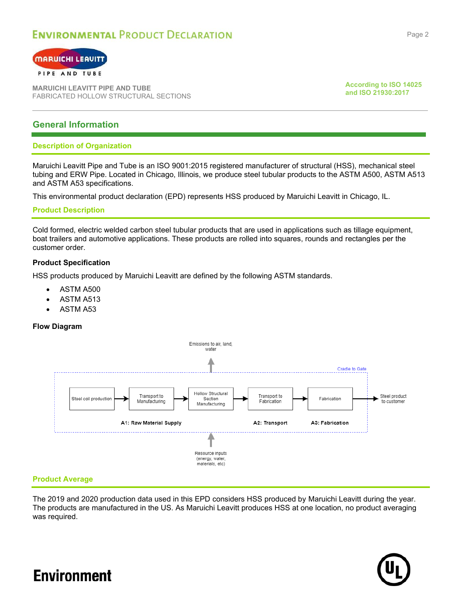

#### PIPE AND TUBE

**MARUICHI LEAVITT PIPE AND TUBE** FABRICATED HOLLOW STRUCTURAL SECTIONS **According to ISO 14025 and ISO 21930:2017**

### **General Information**

### **Description of Organization**

Maruichi Leavitt Pipe and Tube is an ISO 9001:2015 registered manufacturer of structural (HSS), mechanical steel tubing and ERW Pipe. Located in Chicago, Illinois, we produce steel tubular products to the ASTM A500, ASTM A513 and ASTM A53 specifications.

This environmental product declaration (EPD) represents HSS produced by Maruichi Leavitt in Chicago, IL.

### **Product Description**

Cold formed, electric welded carbon steel tubular products that are used in applications such as tillage equipment, boat trailers and automotive applications. These products are rolled into squares, rounds and rectangles per the customer order.

### **Product Specification**

HSS products produced by Maruichi Leavitt are defined by the following ASTM standards.

- ASTM A500
- ASTM A513
- ASTM A53

### **Flow Diagram**



### **Product Average**

The 2019 and 2020 production data used in this EPD considers HSS produced by Maruichi Leavitt during the year. The products are manufactured in the US. As Maruichi Leavitt produces HSS at one location, no product averaging was required.

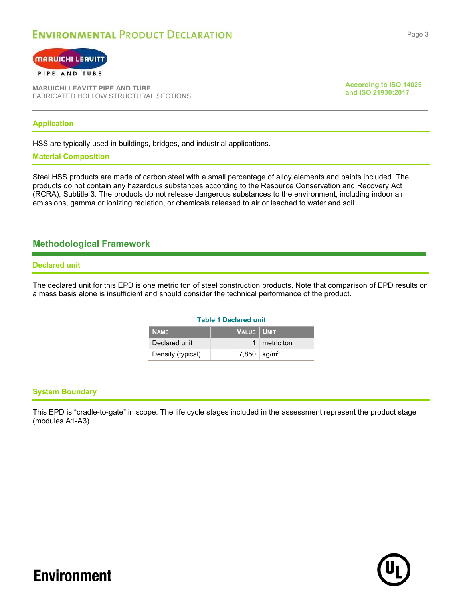

**MARUICHI LEAVITT PIPE AND TUBE** FABRICATED HOLLOW STRUCTURAL SECTIONS **According to ISO 14025 and ISO 21930:2017**

### **Application**

HSS are typically used in buildings, bridges, and industrial applications.

### **Material Composition**

Steel HSS products are made of carbon steel with a small percentage of alloy elements and paints included. The products do not contain any hazardous substances according to the Resource Conservation and Recovery Act (RCRA), Subtitle 3. The products do not release dangerous substances to the environment, including indoor air emissions, gamma or ionizing radiation, or chemicals released to air or leached to water and soil.

### **Methodological Framework**

#### **Declared unit**

The declared unit for this EPD is one metric ton of steel construction products. Note that comparison of EPD results on a mass basis alone is insufficient and should consider the technical performance of the product.

### **Table 1 Declared unit**

| <b>NAME</b>       | VALUE   UNIT |                         |
|-------------------|--------------|-------------------------|
| Declared unit     |              | 1 metric ton            |
| Density (typical) |              | 7,850   $\text{kg/m}^3$ |

### **System Boundary**

This EPD is "cradle-to-gate" in scope. The life cycle stages included in the assessment represent the product stage (modules A1-A3).

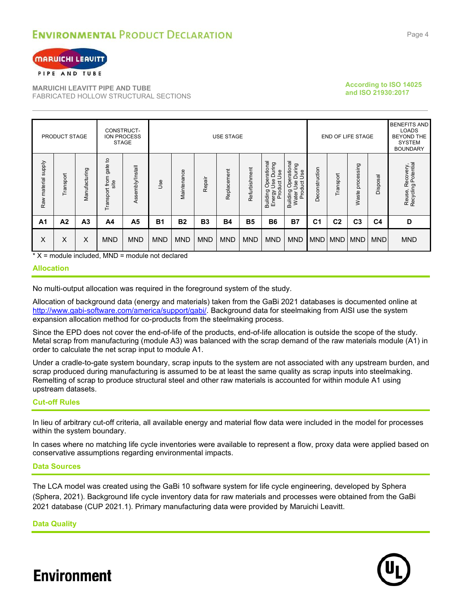

#### PIPE AND TUBE

**MARUICHI LEAVITT PIPE AND TUBE** FABRICATED HOLLOW STRUCTURAL SECTIONS

### **According to ISO 14025 and ISO 21930:2017**

| PRODUCT STAGE       |                |                | CONSTRUCT-<br>ION PROCESS<br><b>STAGE</b> | USE STAGE        |            |             |            |             |               |                                                                                    | END OF LIFE STAGE                                                     |                | <b>BENEFITS AND</b><br>LOADS<br><b>BEYOND THE</b><br><b>SYSTEM</b><br><b>BOUNDARY</b> |                                    |                |                                         |
|---------------------|----------------|----------------|-------------------------------------------|------------------|------------|-------------|------------|-------------|---------------|------------------------------------------------------------------------------------|-----------------------------------------------------------------------|----------------|---------------------------------------------------------------------------------------|------------------------------------|----------------|-----------------------------------------|
| Raw material supply | Transport      | Manufacturing  | Transport from gate to<br>site            | Assembly/Install | Jse        | Maintenance | Repair     | Replacement | Refurbishment | Operational<br>Use During<br>Energy Use <sub>Dunn</sub><br>Product Use<br>Building | Operational<br>During<br>Use<br>Use<br>ğ<br>Prod<br>Building<br>Water | Deconstruction | Transport                                                                             | ssing<br>roce<br>$\Omega$<br>Waste | Disposal       | Reuse, Recovery,<br>Recycling Potential |
| A <sub>1</sub>      | A <sub>2</sub> | A <sub>3</sub> | A4                                        | A <sub>5</sub>   | <b>B1</b>  | <b>B2</b>   | <b>B3</b>  | <b>B4</b>   | <b>B5</b>     | <b>B6</b>                                                                          | <b>B7</b>                                                             | C <sub>1</sub> | C <sub>2</sub>                                                                        | C <sub>3</sub>                     | C <sub>4</sub> | D                                       |
| X                   | X              | X              | <b>MND</b>                                | <b>MND</b>       | <b>MND</b> | <b>MND</b>  | <b>MND</b> | <b>MND</b>  | <b>MND</b>    | <b>MND</b>                                                                         | <b>MND</b>                                                            | <b>MND</b>     | <b>MND</b>                                                                            | <b>MND</b>                         | <b>MND</b>     | <b>MND</b>                              |

 $*$  X = module included, MND = module not declared

### **Allocation**

No multi-output allocation was required in the foreground system of the study.

Allocation of background data (energy and materials) taken from the GaBi 2021 databases is documented online at [http://www.gabi-software.com/america/support/gabi/.](http://www.gabi-software.com/america/support/gabi/) Background data for steelmaking from AISI use the system expansion allocation method for co-products from the steelmaking process.

Since the EPD does not cover the end-of-life of the products, end-of-life allocation is outside the scope of the study. Metal scrap from manufacturing (module A3) was balanced with the scrap demand of the raw materials module (A1) in order to calculate the net scrap input to module A1.

Under a cradle-to-gate system boundary, scrap inputs to the system are not associated with any upstream burden, and scrap produced during manufacturing is assumed to be at least the same quality as scrap inputs into steelmaking. Remelting of scrap to produce structural steel and other raw materials is accounted for within module A1 using upstream datasets.

### **Cut-off Rules**

In lieu of arbitrary cut-off criteria, all available energy and material flow data were included in the model for processes within the system boundary.

In cases where no matching life cycle inventories were available to represent a flow, proxy data were applied based on conservative assumptions regarding environmental impacts.

#### **Data Sources**

The LCA model was created using the GaBi 10 software system for life cycle engineering, developed by Sphera (Sphera, 2021). Background life cycle inventory data for raw materials and processes were obtained from the GaBi 2021 database (CUP 2021.1). Primary manufacturing data were provided by Maruichi Leavitt.

**Data Quality**

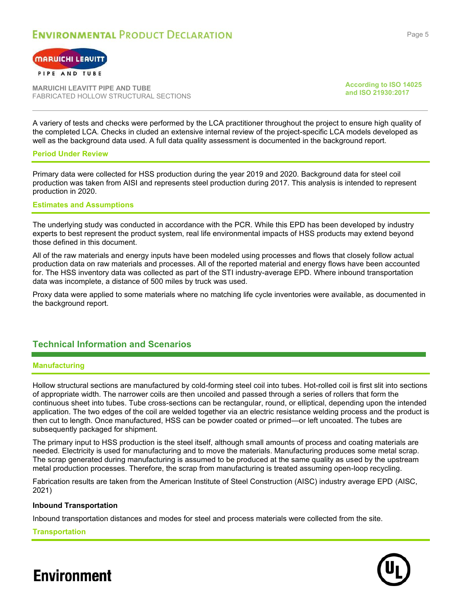



PIPE AND TUBE

**MARUICHI LEAVITT PIPE AND TUBE** FABRICATED HOLLOW STRUCTURAL SECTIONS **According to ISO 14025 and ISO 21930:2017**

A variery of tests and checks were performed by the LCA practitioner throughout the project to ensure high quality of the completed LCA. Checks in cluded an extensive internal review of the project-specific LCA models developed as well as the background data used. A full data quality assessment is documented in the background report.

### **Period Under Review**

Primary data were collected for HSS production during the year 2019 and 2020. Background data for steel coil production was taken from AISI and represents steel production during 2017. This analysis is intended to represent production in 2020.

### **Estimates and Assumptions**

The underlying study was conducted in accordance with the PCR. While this EPD has been developed by industry experts to best represent the product system, real life environmental impacts of HSS products may extend beyond those defined in this document.

All of the raw materials and energy inputs have been modeled using processes and flows that closely follow actual production data on raw materials and processes. All of the reported material and energy flows have been accounted for. The HSS inventory data was collected as part of the STI industry-average EPD. Where inbound transportation data was incomplete, a distance of 500 miles by truck was used.

Proxy data were applied to some materials where no matching life cycle inventories were available, as documented in the background report.

### **Technical Information and Scenarios**

### **Manufacturing**

Hollow structural sections are manufactured by cold-forming steel coil into tubes. Hot-rolled coil is first slit into sections of appropriate width. The narrower coils are then uncoiled and passed through a series of rollers that form the continuous sheet into tubes. Tube cross-sections can be rectangular, round, or elliptical, depending upon the intended application. The two edges of the coil are welded together via an electric resistance welding process and the product is then cut to length. Once manufactured, HSS can be powder coated or primed—or left uncoated. The tubes are subsequently packaged for shipment.

The primary input to HSS production is the steel itself, although small amounts of process and coating materials are needed. Electricity is used for manufacturing and to move the materials. Manufacturing produces some metal scrap. The scrap generated during manufacturing is assumed to be produced at the same quality as used by the upstream metal production processes. Therefore, the scrap from manufacturing is treated assuming open-loop recycling.

Fabrication results are taken from the American Institute of Steel Construction (AISC) industry average EPD (AISC, 2021)

### **Inbound Transportation**

Inbound transportation distances and modes for steel and process materials were collected from the site.

**Transportation**

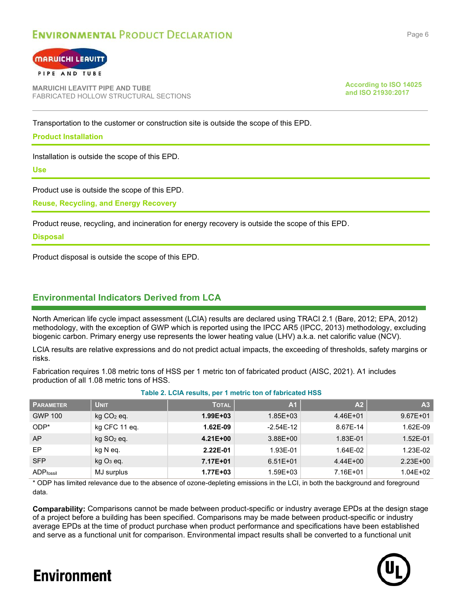

#### PIPE AND TUBE

**MARUICHI LEAVITT PIPE AND TUBE** FABRICATED HOLLOW STRUCTURAL SECTIONS **According to ISO 14025 and ISO 21930:2017**

Transportation to the customer or construction site is outside the scope of this EPD.

### **Product Installation**

Installation is outside the scope of this EPD.

**Use**

Product use is outside the scope of this EPD.

**Reuse, Recycling, and Energy Recovery**

Product reuse, recycling, and incineration for energy recovery is outside the scope of this EPD.

### **Disposal**

Product disposal is outside the scope of this EPD.

### **Environmental Indicators Derived from LCA**

North American life cycle impact assessment (LCIA) results are declared using TRACI 2.1 (Bare, 2012; EPA, 2012) methodology, with the exception of GWP which is reported using the IPCC AR5 (IPCC, 2013) methodology, excluding biogenic carbon. Primary energy use represents the lower heating value (LHV) a.k.a. net calorific value (NCV).

LCIA results are relative expressions and do not predict actual impacts, the exceeding of thresholds, safety margins or risks.

Fabrication requires 1.08 metric tons of HSS per 1 metric ton of fabricated product (AISC, 2021). A1 includes production of all 1.08 metric tons of HSS.

| <b>PARAMETER</b>  | <b>UNIT</b>              | <b>TOTAL</b> | A <sub>1</sub> | A <sub>2</sub> | A <sub>3</sub> |
|-------------------|--------------------------|--------------|----------------|----------------|----------------|
| <b>GWP 100</b>    | $kg CO2$ eq.             | $1.99E + 03$ | $1.85E + 03$   | 4.46E+01       | $9.67E + 01$   |
| $ODP*$            | kg CFC 11 eq.            | 1.62E-09     | $-2.54E-12$    | 8.67E-14       | 1.62E-09       |
| AP                | $kg$ SO <sub>2</sub> eq. | $4.21E + 00$ | $3.88E + 00$   | 1.83E-01       | 1.52E-01       |
| EP                | kg N eq.                 | 2.22E-01     | 1.93E-01       | 1.64E-02       | 1.23E-02       |
| <b>SFP</b>        | $kgO3$ eq.               | 7.17E+01     | $6.51E + 01$   | $4.44E + 00$   | $2.23E + 00$   |
| <b>ADP</b> fossil | MJ surplus               | $1.77E + 03$ | $1.59E + 03$   | 7.16E+01       | $1.04E + 02$   |

### **Table 2. LCIA results, per 1 metric ton of fabricated HSS**

\* ODP has limited relevance due to the absence of ozone-depleting emissions in the LCI, in both the background and foreground data.

**Comparability:** Comparisons cannot be made between product-specific or industry average EPDs at the design stage of a project before a building has been specified. Comparisons may be made between product-specific or industry average EPDs at the time of product purchase when product performance and specifications have been established and serve as a functional unit for comparison. Environmental impact results shall be converted to a functional unit

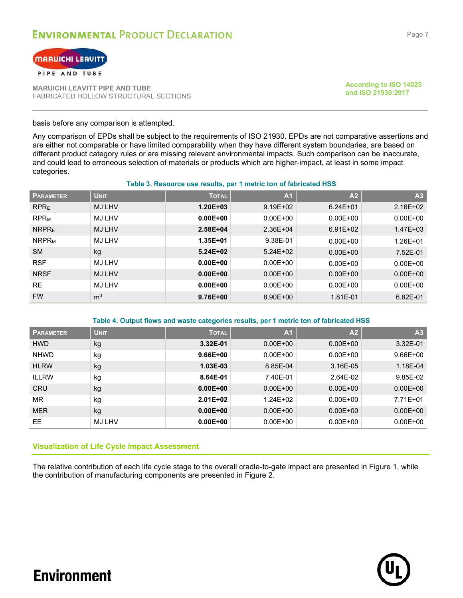



**MARUICHI LEAVITT PIPE AND TUBE** FABRICATED HOLLOW STRUCTURAL SECTIONS **According to ISO 14025 and ISO 21930:2017**

basis before any comparison is attempted.

Any comparison of EPDs shall be subject to the requirements of ISO 21930. EPDs are not comparative assertions and are either not comparable or have limited comparability when they have different system boundaries, are based on different product category rules or are missing relevant environmental impacts. Such comparison can be inaccurate, and could lead to erroneous selection of materials or products which are higher-impact, at least in some impact categories.

#### **Table 3. Resource use results, per 1 metric ton of fabricated HSS**

| <b>PARAMETER</b>        | <b>UNIT</b>    | <b>TOTAL</b> | A <sub>1</sub> | A <sub>2</sub> | A <sub>3</sub> |
|-------------------------|----------------|--------------|----------------|----------------|----------------|
| <b>RPRE</b>             | <b>MJ LHV</b>  | $1.20E + 03$ | $9.19E + 02$   | $6.24E + 01$   | $2.16E + 02$   |
| <b>RPR<sub>M</sub></b>  | <b>MJ LHV</b>  | $0.00E + 00$ | $0.00E + 00$   | $0.00E + 00$   | $0.00E + 00$   |
| <b>NRPRE</b>            | <b>MJ LHV</b>  | $2.58E + 04$ | 2.36E+04       | $6.91E + 02$   | $1.47E + 03$   |
| <b>NRPR<sub>M</sub></b> | <b>MJ LHV</b>  | $1.35E + 01$ | 9.38E-01       | $0.00E + 00$   | $1.26E + 01$   |
| <b>SM</b>               | kg             | $5.24E + 02$ | $5.24E+02$     | $0.00E + 00$   | 7.52E-01       |
| <b>RSF</b>              | <b>MJ LHV</b>  | $0.00E + 00$ | $0.00E + 00$   | $0.00E + 00$   | $0.00E + 00$   |
| <b>NRSF</b>             | <b>MJ LHV</b>  | $0.00E + 00$ | $0.00E + 00$   | $0.00E + 00$   | $0.00E + 00$   |
| <b>RE</b>               | <b>MJ LHV</b>  | $0.00E + 00$ | $0.00E + 00$   | $0.00E + 00$   | $0.00E + 00$   |
| <b>FW</b>               | m <sup>3</sup> | $9.76E + 00$ | 8.90E+00       | 1.81E-01       | 6.82E-01       |

#### **Table 4. Output flows and waste categories results, per 1 metric ton of fabricated HSS**

| <b>PARAMETER</b> | <b>UNIT</b> | <b>TOTAL</b> | A <sub>1</sub> | A <sub>2</sub> | A <sub>3</sub> |
|------------------|-------------|--------------|----------------|----------------|----------------|
| <b>HWD</b>       | kg          | 3.32E-01     | $0.00E + 00$   | $0.00E + 00$   | 3.32E-01       |
| <b>NHWD</b>      | kg          | $9.66E + 00$ | $0.00E + 00$   | $0.00E + 00$   | $9.66E + 00$   |
| <b>HLRW</b>      | kg          | $1.03E-03$   | 8.85E-04       | 3.16E-05       | 1.18E-04       |
| <b>ILLRW</b>     | kg          | 8.64E-01     | 7.40E-01       | 2.64E-02       | 9.85E-02       |
| <b>CRU</b>       | kg          | $0.00E + 00$ | $0.00E + 00$   | $0.00E + 00$   | $0.00E + 00$   |
| MR               | kg          | $2.01E + 02$ | $1.24E + 02$   | $0.00E + 00$   | 7.71E+01       |
| <b>MER</b>       | kg          | $0.00E + 00$ | $0.00E + 00$   | $0.00E + 00$   | $0.00E + 00$   |
| EE.              | MJ LHV      | $0.00E + 00$ | $0.00E + 00$   | $0.00E + 00$   | $0.00E + 00$   |

### **Visualization of Life Cycle Impact Assessment**

The relative contribution of each life cycle stage to the overall cradle-to-gate impact are presented in [Figure 1,](#page-8-0) while the contribution of manufacturing components are presented in [Figure 2.](#page-8-1)

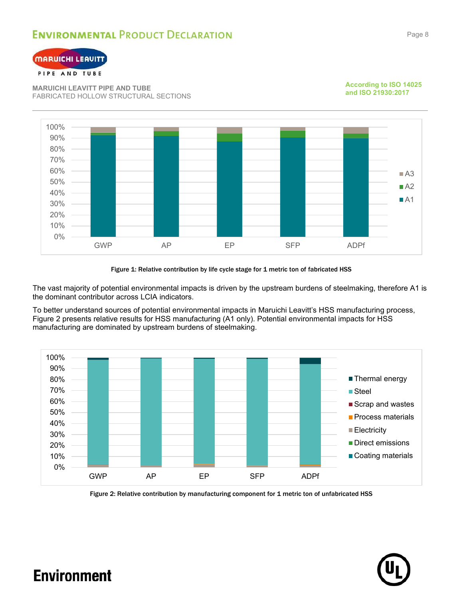



### PIPE AND TUBE

**MARUICHI LEAVITT PIPE AND TUBE** FABRICATED HOLLOW STRUCTURAL SECTIONS



#### **According to ISO 14025 and ISO 21930:2017**

#### Figure 1: Relative contribution by life cycle stage for 1 metric ton of fabricated HSS

<span id="page-8-0"></span>The vast majority of potential environmental impacts is driven by the upstream burdens of steelmaking, therefore A1 is the dominant contributor across LCIA indicators.

To better understand sources of potential environmental impacts in Maruichi Leavitt's HSS manufacturing process, [Figure 2](#page-8-1) presents relative results for HSS manufacturing (A1 only). Potential environmental impacts for HSS manufacturing are dominated by upstream burdens of steelmaking.



<span id="page-8-1"></span>Figure 2: Relative contribution by manufacturing component for 1 metric ton of unfabricated HSS

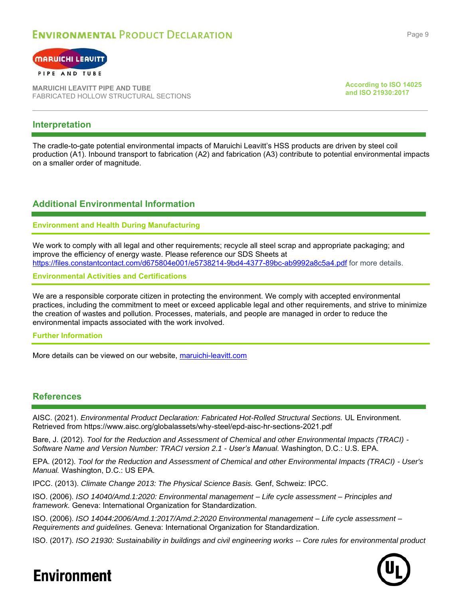

### PIPE AND TUBE

**MARUICHI LEAVITT PIPE AND TUBE** FABRICATED HOLLOW STRUCTURAL SECTIONS **According to ISO 14025 and ISO 21930:2017**

### **Interpretation**

The cradle-to-gate potential environmental impacts of Maruichi Leavitt's HSS products are driven by steel coil production (A1). Inbound transport to fabrication (A2) and fabrication (A3) contribute to potential environmental impacts on a smaller order of magnitude.

### **Additional Environmental Information**

### **Environment and Health During Manufacturing**

We work to comply with all legal and other requirements; recycle all steel scrap and appropriate packaging; and improve the efficiency of energy waste. Please reference our SDS Sheets at <https://files.constantcontact.com/d675804e001/e5738214-9bd4-4377-89bc-ab9992a8c5a4.pdf> for more details.

**Environmental Activities and Certifications**

We are a responsible corporate citizen in protecting the environment. We comply with accepted environmental practices, including the commitment to meet or exceed applicable legal and other requirements, and strive to minimize the creation of wastes and pollution. Processes, materials, and people are managed in order to reduce the environmental impacts associated with the work involved.

### **Further Information**

More details can be viewed on our website, [maruichi-leavitt.com](https://www.maruichi-leavitt.com/)

### **References**

AISC. (2021). *Environmental Product Declaration: Fabricated Hot-Rolled Structural Sections.* UL Environment. Retrieved from https://www.aisc.org/globalassets/why-steel/epd-aisc-hr-sections-2021.pdf

Bare, J. (2012). *Tool for the Reduction and Assessment of Chemical and other Environmental Impacts (TRACI) - Software Name and Version Number: TRACI version 2.1 - User's Manual.* Washington, D.C.: U.S. EPA.

EPA. (2012). *Tool for the Reduction and Assessment of Chemical and other Environmental Impacts (TRACI) - User's Manual.* Washington, D.C.: US EPA.

IPCC. (2013). *Climate Change 2013: The Physical Science Basis.* Genf, Schweiz: IPCC.

ISO. (2006). *ISO 14040/Amd.1:2020: Environmental management – Life cycle assessment – Principles and framework.* Geneva: International Organization for Standardization.

ISO. (2006). *ISO 14044:2006/Amd.1:2017/Amd.2:2020 Environmental management – Life cycle assessment – Requirements and guidelines.* Geneva: International Organization for Standardization.

ISO. (2017). *ISO 21930: Sustainability in buildings and civil engineering works -- Core rules for environmental product*